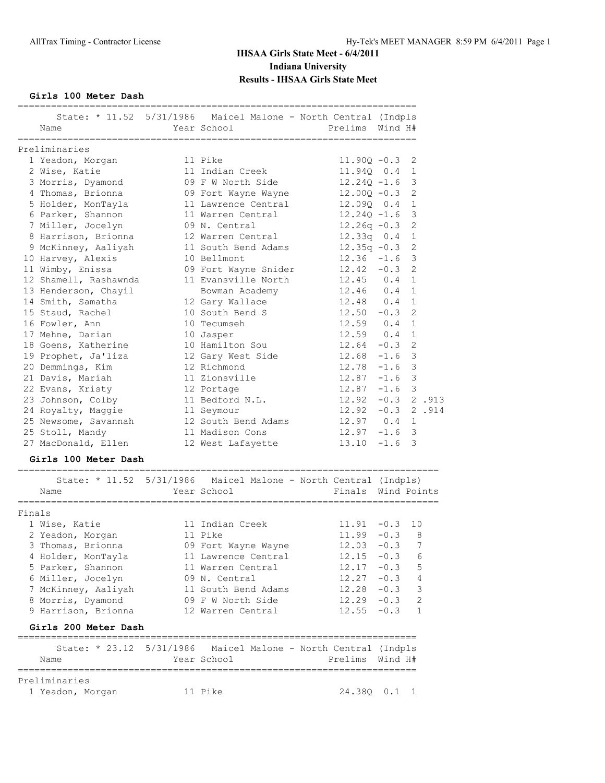**Girls 100 Meter Dash**

|                       | State: * 11.52 5/31/1986 Maicel Malone - North Central (Indpls  |                      |             |                |
|-----------------------|-----------------------------------------------------------------|----------------------|-------------|----------------|
| Name                  | Year School                                                     | Prelims              | Wind H#     |                |
|                       |                                                                 | ____________________ |             |                |
| Preliminaries         |                                                                 |                      |             |                |
| 1 Yeadon, Morgan      | 11 Pike                                                         | $11.900 - 0.3$       |             | 2              |
| 2 Wise, Katie         | 11 Indian Creek                                                 | $11.940$ 0.4         |             | 1              |
| 3 Morris, Dyamond     | 09 F W North Side                                               | $12.240 - 1.6$       |             | 3              |
| 4 Thomas, Brionna     | 09 Fort Wayne Wayne                                             | $12.000 - 0.3$       |             | $\overline{2}$ |
| 5 Holder, MonTayla    | 11 Lawrence Central                                             | 12.090 0.4           |             | $\mathbf{1}$   |
| 6 Parker, Shannon     | 11 Warren Central                                               | $12,240 -1.6$        |             | 3              |
| 7 Miller, Jocelyn     | 09 N. Central                                                   | $12.26q - 0.3$       |             | $\overline{2}$ |
| 8 Harrison, Brionna   | 12 Warren Central                                               | $12.33q$ 0.4         |             | $\mathbf{1}$   |
| 9 McKinney, Aaliyah   | 11 South Bend Adams                                             | $12.35q - 0.3$       |             | $\overline{2}$ |
| 10 Harvey, Alexis     | 10 Bellmont                                                     | $12.36 - 1.6$        |             | 3              |
| 11 Wimby, Enissa      | 09 Fort Wayne Snider                                            | $12.42 - 0.3$        |             | $\overline{2}$ |
| 12 Shamell, Rashawnda | 11 Evansville North                                             | $12.45$ 0.4          |             | $\mathbf{1}$   |
| 13 Henderson, Chayil  | Bowman Academy                                                  | $12.46$ 0.4          |             | $\mathbf{1}$   |
| 14 Smith, Samatha     | 12 Gary Wallace                                                 | $12.48$ 0.4          |             | $\mathbf{1}$   |
| 15 Staud, Rachel      | 10 South Bend S                                                 | $12.50 - 0.3$        |             | $\overline{2}$ |
| 16 Fowler, Ann        | 10 Tecumseh                                                     | $12.59$ 0.4          |             | $\mathbf{1}$   |
| 17 Mehne, Darian      | 10 Jasper                                                       | $12.59$ 0.4          |             | $\mathbf{1}$   |
| 18 Goens, Katherine   | 10 Hamilton Sou                                                 | 12.64                | $-0.3$      | $\overline{2}$ |
| 19 Prophet, Ja'liza   | 12 Gary West Side                                               | $12.68 - 1.6$        |             | 3              |
| 20 Demmings, Kim      | 12 Richmond                                                     | $12.78 - 1.6$        |             | 3              |
| 21 Davis, Mariah      | 11 Zionsville                                                   | $12.87 - 1.6$        |             | 3              |
| 22 Evans, Kristy      | 12 Portage                                                      | $12.87 - 1.6$        |             | $\mathcal{E}$  |
| 23 Johnson, Colby     | 11 Bedford N.L.                                                 | $12.92 -0.3$ 2.913   |             |                |
| 24 Royalty, Maggie    | 11 Seymour                                                      | $12.92 -0.3$ 2.914   |             |                |
| 25 Newsome, Savannah  | 12 South Bend Adams                                             | $12.97$ 0.4          |             | $\mathbf{1}$   |
| 25 Stoll, Mandy       | 11 Madison Cons                                                 | $12.97 - 1.6$        |             | 3              |
| 27 MacDonald, Ellen   | 12 West Lafayette                                               | $13.10 - 1.6$        |             | 3              |
|                       |                                                                 |                      |             |                |
| Girls 100 Meter Dash  |                                                                 |                      |             |                |
|                       | State: * 11.52 5/31/1986 Maicel Malone - North Central (Indpls) |                      |             |                |
| Name                  | Year School                                                     | Finals               | Wind Points |                |
|                       |                                                                 |                      |             |                |

| Finals               |                     |                  |                          |
|----------------------|---------------------|------------------|--------------------------|
| 1 Wise, Katie        | 11 Indian Creek     | $11.91 - 0.3 10$ |                          |
| 2 Yeadon, Morgan     | 11 Pike             | $11.99 - 0.3$    | - 8                      |
| 3 Thomas, Brionna    | 09 Fort Wayne Wayne | $12.03 - 0.3$ 7  |                          |
| 4 Holder, MonTayla   | 11 Lawrence Central | $12.15 - 0.3$    | 6                        |
| 5 Parker, Shannon    | 11 Warren Central   | $12.17 - 0.3$ 5  |                          |
| 6 Miller, Jocelyn    | 09 N. Central       | $12.27 - 0.3$    | $\overline{4}$           |
| 7 McKinney, Aaliyah  | 11 South Bend Adams | $12.28 - 0.3$    | $\overline{\phantom{a}}$ |
| 8 Morris, Dyamond    | 09 F W North Side   | $12.29 - 0.3$    | -2                       |
| 9 Harrison, Brionna  | 12 Warren Central   | $12.55 - 0.3$    |                          |
| Girls 200 Meter Dash |                     |                  |                          |
|                      |                     |                  |                          |

|                  |  |             | State: * 23.12 5/31/1986 Maicel Malone - North Central (Indpls |              |
|------------------|--|-------------|----------------------------------------------------------------|--------------|
| Name             |  | Year School | Prelims Wind H#                                                |              |
|                  |  |             |                                                                |              |
| Preliminaries    |  |             |                                                                |              |
| 1 Yeadon, Morgan |  | 11 Pike     |                                                                | 24.380 0.1 1 |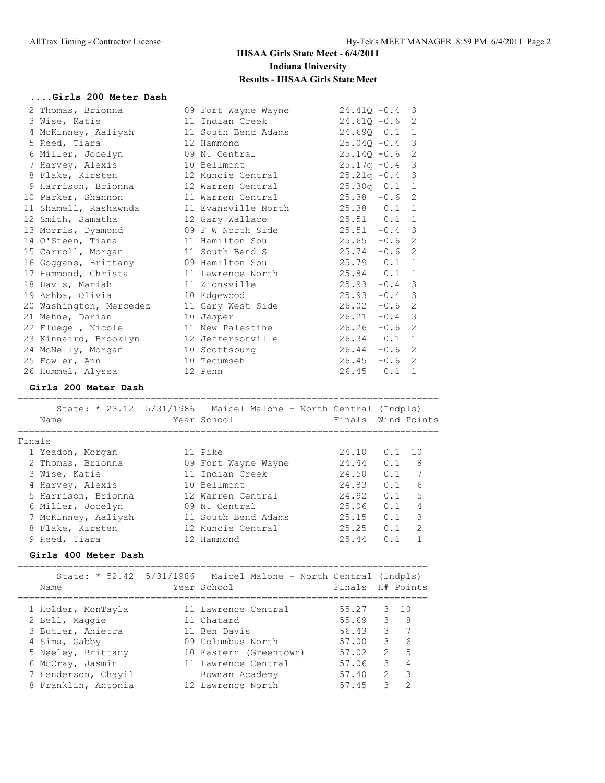|        | Girls 200 Meter Dash                       |           |                                                                 |                                |                |                |
|--------|--------------------------------------------|-----------|-----------------------------------------------------------------|--------------------------------|----------------|----------------|
|        | 2 Thomas, Brionna                          |           | 09 Fort Wayne Wayne                                             | $24.41Q - 0.4$                 |                | 3              |
|        | 3 Wise, Katie                              |           | 11 Indian Creek                                                 | $24.61Q - 0.6$                 |                | 2              |
|        | 4 McKinney, Aaliyah                        |           | 11 South Bend Adams                                             | 24.690 0.1                     |                | 1              |
|        | 5 Reed, Tiara                              |           | 12 Hammond                                                      | $25.04Q - 0.4$                 |                | 3              |
|        | 6 Miller, Jocelyn                          |           | 09 N. Central                                                   | $25.14Q - 0.6$                 |                | 2              |
|        | 7 Harvey, Alexis                           |           | 10 Bellmont                                                     | $25.17q - 0.4$                 |                | 3              |
|        | 8 Flake, Kirsten                           |           | 12 Muncie Central                                               | $25.21q - 0.4$                 |                | 3              |
|        | 9 Harrison, Brionna                        |           | 12 Warren Central                                               | $25.30q$ 0.1                   |                | 1              |
|        | 10 Parker, Shannon                         |           | 11 Warren Central                                               | $25.38 - 0.6$                  |                | 2              |
|        | 11 Shamell, Rashawnda                      |           | 11 Evansville North                                             | 25.38 0.1                      |                | 1              |
|        | 12 Smith, Samatha                          |           | 12 Gary Wallace                                                 | $25.51$ 0.1                    |                | 1              |
|        | 13 Morris, Dyamond                         |           | 09 F W North Side                                               | $25.51 -0.4$                   |                | 3              |
|        | 14 O'Steen, Tiana                          |           | 11 Hamilton Sou                                                 | $25.65 - 0.6$                  |                | 2              |
|        | 15 Carroll, Morgan                         |           | 11 South Bend S                                                 | $25.74 - 0.6$                  |                | 2              |
|        | 16 Goggans, Brittany                       |           | 09 Hamilton Sou                                                 | 25.79 0.1                      |                | 1              |
|        | 17 Hammond, Christa                        |           | 11 Lawrence North                                               | 25.84 0.1                      |                | 1              |
|        | 18 Davis, Mariah                           |           | 11 Zionsville                                                   | $25.93 - 0.4$                  |                | 3              |
|        | 19 Ashba, Olivia                           |           | 10 Edgewood                                                     | $25.93 - 0.4$                  |                | $\overline{3}$ |
|        | 20 Washington, Mercedez                    |           | 11 Gary West Side                                               | $26.02 -0.6$                   |                | 2              |
|        | 21 Mehne, Darian                           |           | 10 Jasper                                                       | $26.21 - 0.4$                  |                | 3              |
|        | 22 Fluegel, Nicole                         |           | 11 New Palestine                                                | $26.26 - 0.6$                  |                | 2              |
|        | 23 Kinnaird, Brooklyn                      |           | 12 Jeffersonville                                               | $26.34$ $0.1$ 1                |                |                |
|        | 24 McNelly, Morgan                         |           | 10 Scottsburg                                                   | $26.44 - 0.6$                  |                | 2              |
|        | 25 Fowler, Ann                             |           | 10 Tecumseh                                                     | $26.45 - 0.6$ 2                |                |                |
|        | 26 Hummel, Alyssa                          |           | 12 Penn                                                         | $26.45$ 0.1 1                  |                |                |
|        |                                            |           |                                                                 |                                |                |                |
|        | Girls 200 Meter Dash                       |           |                                                                 |                                |                |                |
|        |                                            |           |                                                                 |                                |                |                |
|        |                                            |           | State: * 23.12 5/31/1986 Maicel Malone - North Central (Indpls) |                                |                |                |
|        | Name                                       |           | Year School                                                     | Finals Wind Points             |                |                |
| Finals |                                            |           |                                                                 |                                |                |                |
|        | 1 Yeadon, Morgan                           |           | 11 Pike                                                         | 24.10                          | 0.1            | 10             |
|        | 2 Thomas, Brionna                          |           |                                                                 |                                | 0.1            | 8              |
|        | 3 Wise, Katie                              |           | 09 Fort Wayne Wayne<br>11 Indian Creek                          | 24.44                          |                |                |
|        | 4 Harvey, Alexis                           |           | 10 Bellmont                                                     | 24.50  0.1  7<br>24.83  0.1  6 |                |                |
|        | 5 Harrison, Brionna                        |           | 12 Warren Central                                               | 24.92                          | 0.1            | 5              |
|        | 6 Miller, Jocelyn                          |           | 09 N. Central                                                   | 25.06                          | 0.1            | 4              |
|        | 7 McKinney, Aaliyah                        |           | 11 South Bend Adams                                             | 25.15                          | 0.1            | 3              |
|        |                                            |           | 12 Muncie Central                                               | 25.25                          | 0.1            | $\mathfrak{D}$ |
|        | 8 Flake, Kirsten<br>9 Reed, Tiara          |           | 12 Hammond                                                      | 25.44                          | 0.1            | 1              |
|        | Girls 400 Meter Dash                       |           |                                                                 |                                |                |                |
|        |                                            |           |                                                                 |                                |                |                |
|        | State: * 52.42                             | 5/31/1986 | Maicel Malone - North Central (Indpls)                          |                                |                |                |
|        | Name                                       |           | Year School                                                     | Finals                         |                | H# Points      |
|        |                                            |           | :================                                               |                                | -------------- |                |
|        | 1 Holder, MonTayla                         |           | 11 Lawrence Central                                             | 55.27                          | 3              | 10             |
|        | 2 Bell, Maggie                             |           | 11 Chatard                                                      | 55.69                          | 3              | 8              |
|        | 3 Butler, Anietra                          |           | 11 Ben Davis                                                    | 56.43                          | 3              | 7              |
|        | 4 Sims, Gabby                              |           | 09 Columbus North                                               | 57.00                          | 3              | 6              |
|        | 5 Neeley, Brittany                         |           | 10 Eastern (Greentown)                                          | 57.02                          | 2              | 5              |
|        | 6 McCray, Jasmin                           |           | 11 Lawrence Central                                             | 57.06                          | 3              | 4              |
|        | 7 Henderson, Chayil<br>8 Franklin, Antonia |           | Bowman Academy<br>12 Lawrence North                             | 57.40<br>57.45                 | 2<br>3         | 3<br>2         |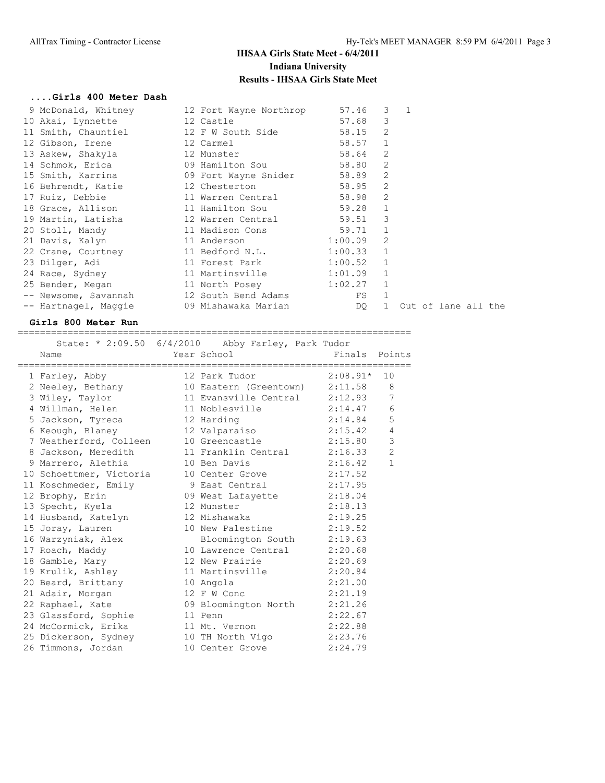### **....Girls 400 Meter Dash**

| 9 McDonald, Whitney                                    | 12 Fort Wayne Northrop | 57.46   | 3              | $\overline{1}$      |  |  |
|--------------------------------------------------------|------------------------|---------|----------------|---------------------|--|--|
| 10 Akai, Lynnette                                      | 12 Castle              | 57.68   | 3              |                     |  |  |
| 11 Smith, Chauntiel 12 F W South Side                  |                        | 58.15   | 2              |                     |  |  |
| 12 Gibson, Irene                                       | 12 Carmel              | 58.57   | $\mathbf{1}$   |                     |  |  |
| 13 Askew, Shakyla 12 Munster                           |                        | 58.64   | $\overline{2}$ |                     |  |  |
| 14 Schmok, Erica                       09 Hamilton Sou |                        | 58.80   | 2              |                     |  |  |
| 15 Smith, Karrina 69 Fort Wayne Snider 58.89           |                        |         | 2              |                     |  |  |
| 16 Behrendt, Katie 12 Chesterton                       |                        | 58.95   | 2              |                     |  |  |
| 17 Ruiz, Debbie and 11 Warren Central                  |                        | 58.98   | 2              |                     |  |  |
| 18 Grace, Allison 11 Hamilton Sou                      |                        | 59.28   | $\mathbf{1}$   |                     |  |  |
| 19 Martin, Latisha (12 Warren Central                  |                        | 59.51   | 3              |                     |  |  |
| 20 Stoll, Mandy                                        | 11 Madison Cons        | 59.71   | $\mathbf{1}$   |                     |  |  |
| 21 Davis, Kalyn                                        | 11 Anderson            | 1:00.09 | 2              |                     |  |  |
| 22 Crane, Courtney 11 Bedford N.L.                     |                        | 1:00.33 | $\mathbf{1}$   |                     |  |  |
| 23 Dilger, Adi                                         | 11 Forest Park         | 1:00.52 | $\mathbf{1}$   |                     |  |  |
| 24 Race, Sydney                                        | 11 Martinsville        | 1:01.09 | $\mathbf{1}$   |                     |  |  |
| 25 Bender, Megan                                       | 11 North Posey         | 1:02.27 | $\mathbf{1}$   |                     |  |  |
| -- Newsome, Savannah                                   | 12 South Bend Adams    | FS      | $\mathbf{1}$   |                     |  |  |
| -- Hartnagel, Maggie                                   | 09 Mishawaka Marian    | DQ.     |                | Out of lane all the |  |  |
|                                                        |                        |         |                |                     |  |  |

### **Girls 800 Meter Run**

=======================================================================

| Name                                  | State: * $2:09.50$ 6/4/2010 Abby Farley, Park Tudor<br>Year School and the Marian School | Finals Points |                |
|---------------------------------------|------------------------------------------------------------------------------------------|---------------|----------------|
| 1 Farley, Abby                        | 12 Park Tudor $2:08.91*$                                                                 |               | 10             |
|                                       | 2 Neeley, Bethany 10 Eastern (Greentown) 2:11.58 8                                       |               |                |
|                                       | 3 Wiley, Taylor 11 Evansville Central 2:12.93                                            |               | 7              |
|                                       | 4 Willman, Helen 11 Noblesville 2:14.47                                                  |               | 6              |
| 5 Jackson, Tyreca 12 Harding          |                                                                                          | 2:14.84       | 5              |
|                                       | 6 Keough, Blaney 12 Valparaiso 2:15.42                                                   |               | $\overline{4}$ |
| 7 Weatherford, Colleen 10 Greencastle |                                                                                          | 2:15.80       | $\mathsf 3$    |
|                                       | 8 Jackson, Meredith 11 Franklin Central 2:16.33                                          |               | 2              |
|                                       | 9 Marrero, Alethia 10 Ben Davis 2:16.42                                                  |               | $\mathbf{1}$   |
|                                       | 10 Schoettmer, Victoria 10 Center Grove 2:17.52                                          |               |                |
|                                       |                                                                                          |               |                |
|                                       | 11 Koschmeder, Emily 9 East Central 2:17.95<br>12 Brophy, Erin 09 West Lafayette 2:18.04 |               |                |
| 13 Specht, Kyela                      | 12 Munster                                                                               | 2:18.13       |                |
| 14 Husband, Katelyn 12 Mishawaka      |                                                                                          | 2:19.25       |                |
|                                       | 15 Joray, Lauren 10 New Palestine 2:19.52                                                |               |                |
|                                       | 16 Warzyniak, Alex Bloomington South 2:19.63                                             |               |                |
|                                       |                                                                                          |               |                |
|                                       | 18 Gamble, Mary 12 New Prairie 2:20.69                                                   |               |                |
|                                       | 19 Krulik, Ashley 11 Martinsville 2:20.84                                                |               |                |
| 20 Beard, Brittany 10 Angola          |                                                                                          | 2:21.00       |                |
| 21 Adair, Morgan 12 F W Conc          |                                                                                          | 2:21.19       |                |
|                                       | 22 Raphael, Kate 69 Bloomington North 2:21.26                                            |               |                |
| 23 Glassford, Sophie                  | 2:22.67<br>11 Penn                                                                       |               |                |
|                                       | 24 McCormick, Erika 11 Mt. Vernon 2:22.88                                                |               |                |
|                                       | 25 Dickerson, Sydney 10 TH North Vigo 2:23.76                                            |               |                |
| 26 Timmons, Jordan                    | 10 Center Grove 2:24.79                                                                  |               |                |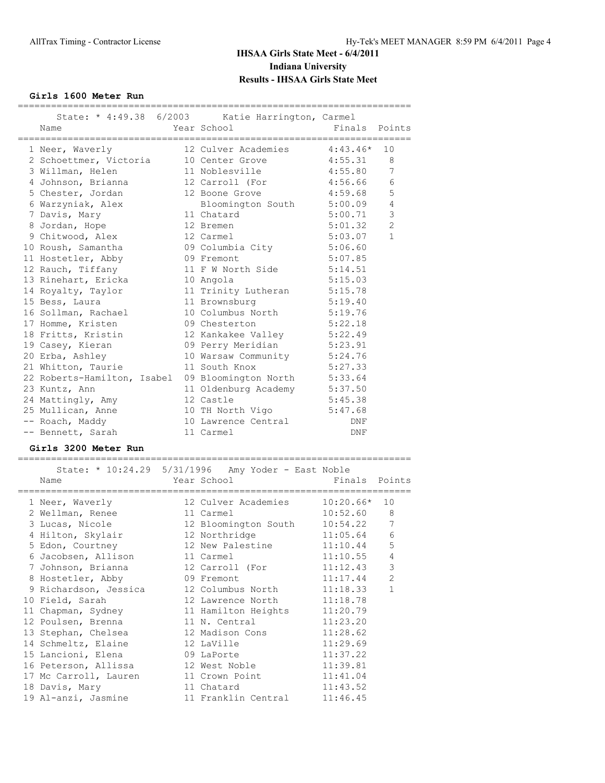### **Girls 1600 Meter Run**

| Name                          | State: * 4:49.38 6/2003 Katie Harrington, Carmel<br>Year School          | Finals Points |                |
|-------------------------------|--------------------------------------------------------------------------|---------------|----------------|
|                               | 1 Neer, Waverly 12 Culver Academies 4:43.46*                             |               | 10             |
|                               | 2 Schoettmer, Victoria 10 Center Grove 4:55.31 8                         |               |                |
| 3 Willman, Helen              | 11 Noblesville 4:55.80 7                                                 |               |                |
|                               | 4 Johnson, Brianna 12 Carroll (For 4:56.66                               |               | 6              |
|                               | 5 Chester, Jordan 5 2 Boone Grove 5 2:59.68                              |               | 5              |
| 6 Warzyniak, Alex             | Bloomington South 5:00.09                                                |               | $\overline{4}$ |
| 7 Davis, Mary                 | 11 Chatard 5:00.71                                                       |               | $\mathcal{S}$  |
| 8 Jordan, Hope 5 12 Bremen    |                                                                          | 5:01.32       | 2              |
| 9 Chitwood, Alex              | 12 Carmel                                                                | 5:03.07       | $\mathbf{1}$   |
|                               | 10 Roush, Samantha (1998) 12 Journal of the Columbia City (1998) 5:06.60 |               |                |
| 11 Hostetler, Abby 09 Fremont |                                                                          | 5:07.85       |                |
|                               | 12 Rauch, Tiffany 11 F W North Side 5:14.51                              |               |                |
| 13 Rinehart, Ericka 10 Angola |                                                                          | 5:15.03       |                |
|                               | 14 Royalty, Taylor 11 Trinity Lutheran 5:15.78                           |               |                |
| 15 Bess, Laura                | 11 Brownsburg 5:19.40                                                    |               |                |
| 16 Sollman, Rachael           | 10 Columbus North 5:19.76                                                |               |                |
| 17 Homme, Kristen             | 09 Chesterton 5:22.18                                                    |               |                |
|                               | 18 Fritts, Kristin 12 Kankakee Valley 5:22.49                            |               |                |
|                               | 19 Casey, Kieran 6:23.91                                                 |               |                |
| 20 Erba, Ashley               | 10 Warsaw Community 5:24.76<br>11 South Knox 5:27.33                     |               |                |
| 21 Whitton, Taurie            |                                                                          |               |                |
|                               | 22 Roberts-Hamilton, Isabel 09 Bloomington North 5:33.64                 |               |                |
| 23 Kuntz, Ann                 | 11 Oldenburg Academy 5:37.50                                             |               |                |
| 24 Mattingly, Amy             | 12 Castle                                                                | 5:45.38       |                |
|                               | 25 Mullican, Anne 10 TH North Vigo 5:47.68                               |               |                |
| -- Roach, Maddy               | 10 Lawrence Central                                                      | DNF           |                |
| -- Bennett, Sarah             | 11 Carmel                                                                | DNF           |                |

### **Girls 3200 Meter Run**

=======================================================================  $Starte: * 10:24.29 5/31/1996$  Amy Yoder - East Noble

|                                | State: $*$ 10:24.29 5/31/1996 Amy Yoder - East Noble |            |                |
|--------------------------------|------------------------------------------------------|------------|----------------|
| Name                           | Year School New Pinals Points                        |            |                |
|                                | 1 Neer, Waverly 12 Culver Academies 10:20.66* 10     |            |                |
| 2 Wellman, Renee 11 Carmel     |                                                      | 10:52.60 8 |                |
|                                | 3 Lucas, Nicole 12 Bloomington South 10:54.22 7      |            |                |
|                                | 4 Hilton, Skylair 12 Northridge 11:05.64             |            | 6              |
|                                | 5 Edon, Courtney 12 New Palestine 11:10.44           |            | 5              |
| 6 Jacobsen, Allison 11 Carmel  |                                                      | 11:10.55   | $\overline{4}$ |
|                                |                                                      |            | $\mathcal{E}$  |
|                                | 8 Hostetler, Abby 09 Fremont 11:17.44                |            | $\overline{2}$ |
|                                | 9 Richardson, Jessica 12 Columbus North 11:18.33     |            | $\mathbf{1}$   |
|                                | 10 Field, Sarah 12 Lawrence North 11:18.78           |            |                |
|                                | 11 Chapman, Sydney 11 Hamilton Heights 11:20.79      |            |                |
|                                | 12 Poulsen, Brenna 11 N. Central 11:23.20            |            |                |
|                                | 13 Stephan, Chelsea 12 Madison Cons 11:28.62         |            |                |
| 14 Schmeltz, Elaine 12 LaVille |                                                      | 11:29.69   |                |
| 15 Lancioni, Elena 69 LaPorte  |                                                      | 11:37.22   |                |
|                                | 16 Peterson, Allissa 12 West Noble 11:39.81          |            |                |
|                                | 17 Mc Carroll, Lauren 11 Crown Point 11:41.04        |            |                |
|                                | 18 Davis, Mary 11 Chatard 11:43.52                   |            |                |
|                                | 19 Al-anzi, Jasmine 11 Franklin Central 11:46.45     |            |                |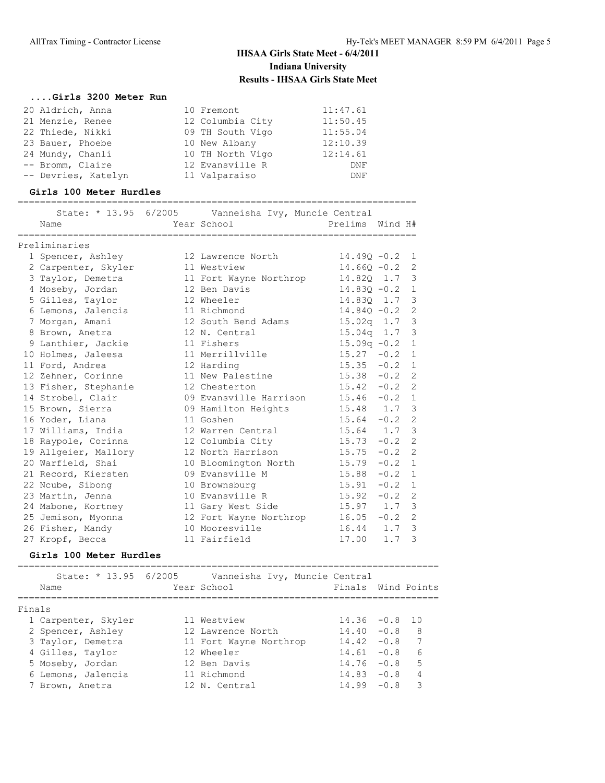#### **....Girls 3200 Meter Run**

| 20 Aldrich, Anna    | 10 Fremont       | 11:47.61 |
|---------------------|------------------|----------|
| 21 Menzie, Renee    | 12 Columbia City | 11:50.45 |
| 22 Thiede, Nikki    | 09 TH South Vigo | 11:55.04 |
| 23 Bauer, Phoebe    | 10 New Albany    | 12:10.39 |
| 24 Mundy, Chanli    | 10 TH North Vigo | 12:14.61 |
| -- Bromm, Claire    | 12 Evansville R  | DNF      |
| -- Devries, Katelyn | 11 Valparaiso    | DNF      |
|                     |                  |          |

#### **Girls 100 Meter Hurdles**

### ======================================================================== State: \* 13.95 6/2005 Vanneisha Ivy, Muncie Central Name Year School Prelims Wind H# ======================================================================== Preliminaries 1 Spencer, Ashley 12 Lawrence North 14.49Q -0.2 1 2 Carpenter, Skyler 11 Westview 14.66Q -0.2 2 3 Taylor, Demetra 11 Fort Wayne Northrop 14.82Q 1.7 3 4 Moseby, Jordan 12 Ben Davis 14.83Q -0.2 1 5 Gilles, Taylor 12 Wheeler 14.83Q 1.7 3 6 Lemons, Jalencia 11 Richmond 14.84Q -0.2 2 7 Morgan, Amani 12 South Bend Adams 15.02q 1.7 3 8 Brown, Anetra 12 N. Central 15.04q 1.7 3 9 Lanthier, Jackie 11 Fishers 15.09q -0.2 1 10 Holmes, Jaleesa 11 Merrillville 15.27 -0.2 1 11 Ford, Andrea 12 Harding 15.35 -0.2 1 12 Zehner, Corinne 11 New Palestine 15.38 -0.2 2 13 Fisher, Stephanie 12 Chesterton 15.42 -0.2 2 14 Strobel, Clair 09 Evansville Harrison 15.46 -0.2 1 15 Brown, Sierra 09 Hamilton Heights 15.48 1.7 3 16 Yoder, Liana 11 Goshen 15.64 -0.2 2 17 Williams, India 12 Warren Central 15.64 1.7 3 18 Raypole, Corinna 12 Columbia City 15.73 -0.2 2 19 Allgeier, Mallory 12 North Harrison 15.75 -0.2 2 20 Warfield, Shai 10 Bloomington North 15.79 -0.2 1 21 Record, Kiersten 09 Evansville M 15.88 -0.2 1 22 Ncube, Sibong 10 Brownsburg 15.91 -0.2 1 23 Martin, Jenna 10 Evansville R 15.92 -0.2 2 24 Mabone, Kortney 11 Gary West Side 15.97 1.7 3 25 Jemison, Myonna 12 Fort Wayne Northrop 16.05 -0.2 2 26 Fisher, Mandy 10 Mooresville 16.44 1.7 3 27 Kropf, Becca 11 Fairfield 17.00 1.7 3

#### **Girls 100 Meter Hurdles**

|        | State: $* 13.95 6/2005$<br>Name | Vanneisha Ivy, Muncie Central<br>Year School | Finals Wind Points |        |   |
|--------|---------------------------------|----------------------------------------------|--------------------|--------|---|
| Finals |                                 |                                              |                    |        |   |
|        | 1 Carpenter, Skyler             | 11 Westview                                  | $14.36 - 0.8 10$   |        |   |
|        | 2 Spencer, Ashley               | 12 Lawrence North                            | $14.40 - 0.8$      |        | 8 |
|        | 3 Taylor, Demetra               | 11 Fort Wayne Northrop                       | $14.42 - 0.8$      |        | 7 |
|        | 4 Gilles, Taylor                | 12 Wheeler                                   | $14.61 - 0.8$      |        | 6 |
|        | 5 Moseby, Jordan                | 12 Ben Davis                                 | $14.76 - 0.8$      |        | 5 |
|        | 6 Lemons, Jalencia              | 11 Richmond                                  | $14.83 - 0.8$      |        | 4 |
|        | 7 Brown, Anetra                 | 12 N. Central                                | 14.99              | $-0.8$ | २ |
|        |                                 |                                              |                    |        |   |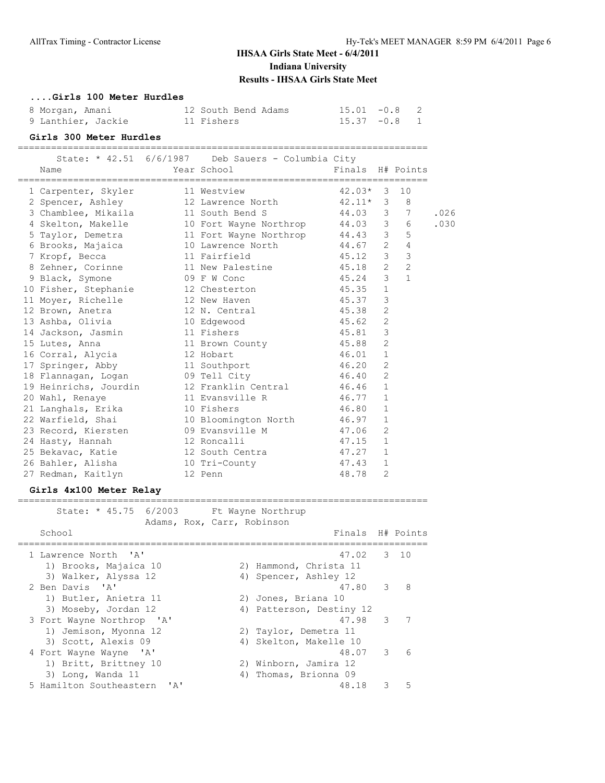### **....Girls 100 Meter Hurdles**

| 8 Morgan, Amani    | 12 South Bend Adams | $15.01 -0.8$ 2 |  |
|--------------------|---------------------|----------------|--|
| 9 Lanthier, Jackie | 11 Fishers          | $15.37 -0.8$ 1 |  |

### **Girls 300 Meter Hurdles**

========================================================================== State: \* 42.51 6/6/1987 Deb Sauers - Columbia City

| Name                                          | Year School                | Finals                         |                | H# Points               |      |
|-----------------------------------------------|----------------------------|--------------------------------|----------------|-------------------------|------|
| 1 Carpenter, Skyler                           | 11 Westview                | $42.03*$                       | 3              | 10                      |      |
| 2 Spencer, Ashley                             | 12 Lawrence North          | 42.11*                         | 3              | 8                       |      |
| 3 Chamblee, Mikaila                           | 11 South Bend S            | 44.03                          | 3              | -7                      | .026 |
| 4 Skelton, Makelle                            | 10 Fort Wayne Northrop     | 44.03                          | 3 <sup>7</sup> | - 6                     | .030 |
| 5 Taylor, Demetra                             | 11 Fort Wayne Northrop     | 44.43                          | 3 <sup>7</sup> | - 5                     |      |
| 6 Brooks, Majaica                             | 10 Lawrence North          | 44.67                          | 2              | $\overline{4}$          |      |
| 7 Kropf, Becca                                | 11 Fairfield               | 45.12                          | $\mathcal{S}$  | $\overline{\mathbf{3}}$ |      |
| 8 Zehner, Corinne                             | 11 New Palestine           | 45.18                          | $\mathbf{2}$   | 2                       |      |
| 9 Black, Symone                               | 09 F W Conc                | 45.24                          | 3              | $\mathbf{1}$            |      |
| 10 Fisher, Stephanie                          | 12 Chesterton              | 45.35                          | $\mathbf{1}$   |                         |      |
| 11 Moyer, Richelle                            | 12 New Haven               | 45.37                          | 3              |                         |      |
| 12 Brown, Anetra                              | 12 N. Central              | 45.38                          | 2              |                         |      |
| 13 Ashba, Olivia                              | 10 Edgewood                | 45.62                          | $\mathbf{2}$   |                         |      |
| 14 Jackson, Jasmin                            | 11 Fishers                 | 45.81                          | 3              |                         |      |
| 15 Lutes, Anna                                | 11 Brown County            | 45.88                          | 2              |                         |      |
| 16 Corral, Alycia                             | 12 Hobart                  | 46.01                          | -1             |                         |      |
| 17 Springer, Abby                             | 11 Southport               | 46.20                          | 2              |                         |      |
| 18 Flannagan, Logan                           | 09 Tell City               | 46.40                          | 2              |                         |      |
| 19 Heinrichs, Jourdin                         | 12 Franklin Central        | 46.46                          | 1              |                         |      |
| 20 Wahl, Renaye                               | 11 Evansville R            | 46.77                          | $\mathbf{1}$   |                         |      |
| 21 Langhals, Erika                            | 10 Fishers                 | 46.80                          | $\mathbf{1}$   |                         |      |
| 22 Warfield, Shai                             | 10 Bloomington North       | 46.97                          | 1              |                         |      |
| 23 Record, Kiersten                           | 09 Evansville M            | 47.06                          | 2              |                         |      |
| 24 Hasty, Hannah                              | 12 Roncalli                | 47.15                          | $\overline{1}$ |                         |      |
| 25 Bekavac, Katie                             | 12 South Centra            | 47.27                          | $\mathbf{1}$   |                         |      |
| 26 Bahler, Alisha                             | 10 Tri-County              | 47.43                          | $\overline{1}$ |                         |      |
| 27 Redman, Kaitlyn                            | 12 Penn                    | 48.78                          | 2              |                         |      |
|                                               |                            |                                |                |                         |      |
| Girls 4x100 Meter Relay                       |                            |                                |                |                         |      |
| State: * 45.75 6/2003 Ft Wayne Northrup       |                            |                                |                |                         |      |
|                                               | Adams, Rox, Carr, Robinson |                                |                |                         |      |
| School                                        |                            | Finals                         |                | H# Points               |      |
| 1 Lawrence North<br>$^{\prime}$ A $^{\prime}$ |                            | ---------------------<br>47.02 | 3              | 10                      |      |
| 1) Brooks, Majaica 10                         | 2) Hammond, Christa 11     |                                |                |                         |      |
| 3) Walker, Alyssa 12                          | 4) Spencer, Ashley 12      |                                |                |                         |      |
| 2 Ben Davis 'A'                               |                            | 47.80                          | 3              | - 8                     |      |
| 1) Butler, Anietra 11                         | 2) Jones, Briana 10        |                                |                |                         |      |
| 3) Moseby, Jordan 12                          | 4) Patterson, Destiny 12   |                                |                |                         |      |
| 3 Fort Wayne Northrop 'A'                     |                            | 47.98                          | 3              | 7                       |      |
| 1) Jemison, Myonna 12                         | 2) Taylor, Demetra 11      |                                |                |                         |      |

3) Scott, Alexis 09 4) Skelton, Makelle 10

 1) Britt, Brittney 10 2) Winborn, Jamira 12 3) Long, Wanda 11 4) Thomas, Brionna 09

4 Fort Wayne Wayne 'A' 48.07 3 6

5 Hamilton Southeastern 'A' 48.18 3 5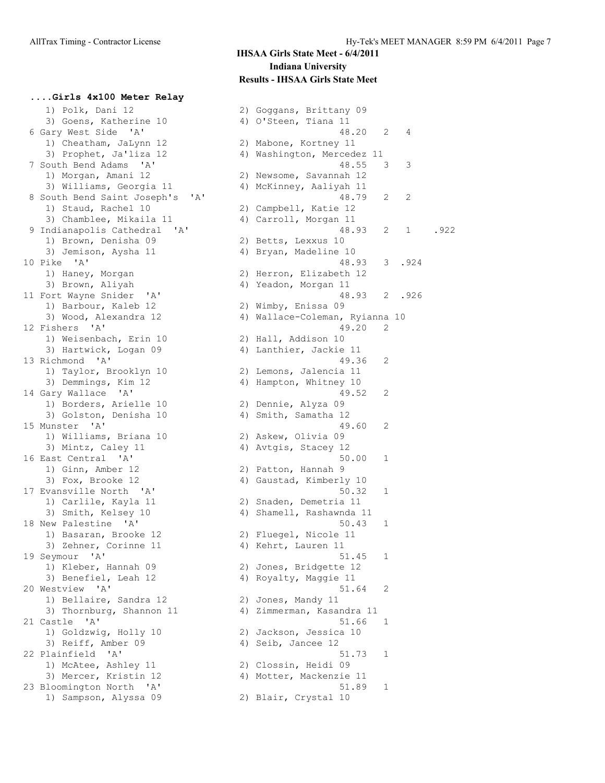**....Girls 4x100 Meter Relay**

## **IHSAA Girls State Meet - 6/4/2011 Indiana University Results - IHSAA Girls State Meet**

1) Polk, Dani 12 2) Goggans, Brittany 09<br>3) Goens, Katherine 10 4) O'Steen, Tiana 11 3) Goens, Katherine 10 (4) O'Steen, Tiana 11 1) Cheatham, JaLynn 12 2) Mabone, Kortney 11 3) Prophet, Ja'liza 12 4) Washington, Mercedez 11 1) Morgan, Amani 12 2) Newsome, Savannah 12 3) Williams, Georgia 11 4) McKinney, Aaliyah 11 1) Staud, Rachel 10 2) Campbell, Katie 12 3) Chamblee, Mikaila 11 4) Carroll, Morgan 11 1) Brown, Denisha 09 2) Betts, Lexxus 10 3) Jemison, Aysha 11 4) Bryan, Madeline 10 1) Haney, Morgan 2) Herron, Elizabeth 12 3) Brown, Aliyah 11 (4) Yeadon, Morgan 11 1) Barbour, Kaleb 12 2) Wimby, Enissa 09 12 Fishers 'A' 49.20 2 1) Weisenbach, Erin 10 2) Hall, Addison 10 3) Hartwick, Logan 09 4) Lanthier, Jackie 11 13 Richmond 'A' 49.36 2 1) Taylor, Brooklyn 10 2) Lemons, Jalencia 11 3) Demmings, Kim 12 4) Hampton, Whitney 10 14 Gary Wallace 'A' 49.52 2 1) Borders, Arielle 10 2) Dennie, Alyza 09 3) Golston, Denisha 10 4) Smith, Samatha 12 15 Munster 'A' 49.60 2 1) Williams, Briana 10 2) Askew, Olivia 09 3) Mintz, Caley 11 4) Avtgis, Stacey 12 16 East Central 'A' 50.00 1 1) Ginn, Amber 12 2) Patton, Hannah 9 3) Fox, Brooke 12 4) Gaustad, Kimberly 10 17 Evansville North 'A' 50.32 1 1) Carlile, Kayla 11 2) Snaden, Demetria 11 3) Smith, Kelsey 10  $\hskip 1.5 cm 4$  Shamell, Rashawnda 11 18 New Palestine 'A' 50.43 1 1) Basaran, Brooke 12 2) Fluegel, Nicole 11 3) Zehner, Corinne 11 (4) Kehrt, Lauren 11 19 Seymour 'A' 51.45 1 1) Kleber, Hannah 09 2) Jones, Bridgette 12 3) Benefiel, Leah 12 4) Royalty, Maggie 11 20 Westview 'A' 51.64 2 1) Bellaire, Sandra 12 2) Jones, Mandy 11 3) Thornburg, Shannon 11 4) Zimmerman, Kasandra 11 21 Castle 'A' 51.66 1 1) Goldzwig, Holly 10 2) Jackson, Jessica 10 3) Reiff, Amber 09 (4) Seib, Jancee 12 22 Plainfield 'A' 51.73 1 1) McAtee, Ashley 11 2) Clossin, Heidi 09 3) Mercer, Kristin 12 4) Motter, Mackenzie 11 23 Bloomington North 'A' 51.89 1 1) Sampson, Alyssa 09 2) Blair, Crystal 10

 6 Gary West Side 'A' 48.20 2 4 7 South Bend Adams 'A' 48.55 3 3 8 South Bend Saint Joseph's 'A' 48.79 2 2 9 Indianapolis Cathedral 'A' 48.93 2 1 .922 10 Pike 'A' 48.93 3 .924 11 Fort Wayne Snider 'A' 48.93 2 .926 3) Wood, Alexandra 12 4) Wallace-Coleman, Ryianna 10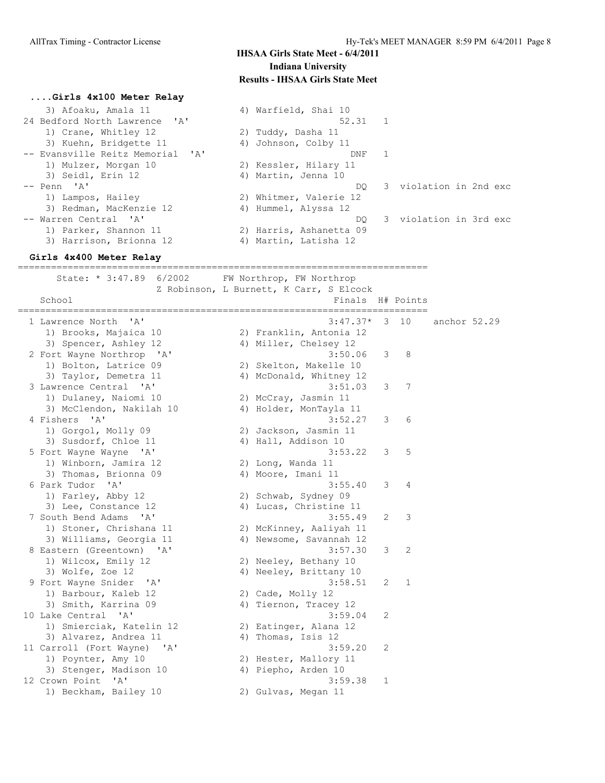DQ 3 violation in 2nd exc

DO 3 violation in 3rd exc

### **IHSAA Girls State Meet - 6/4/2011 Indiana University Results - IHSAA Girls State Meet**

 $52.31$  1

 $DNF$  1

4) Warfield, Shai 10

2) Tuddy, Dasha 11 4) Johnson, Colby 11

2) Kessler, Hilary 11 4) Martin, Jenna 10

2) Whitmer, Valerie 12 4) Hummel, Alyssa 12

2) Harris, Ashanetta 09 4) Martin, Latisha 12

#### **....Girls 4x100 Meter Relay**

|  | 3) Afoaku, Amala 11              |
|--|----------------------------------|
|  | 24 Bedford North Lawrence 'A'    |
|  | 1) Crane, Whitley 12             |
|  | 3) Kuehn, Bridgette 11           |
|  | -- Evansville Reitz Memorial 'A' |
|  | 1) Mulzer, Morgan 10             |
|  | 3) Seidl, Erin 12                |
|  | -- Penn 'A'                      |
|  | 1) Lampos, Hailey                |
|  | 3) Redman, MacKenzie 12          |
|  | -- Warren Central 'A'            |
|  | 1) Parker, Shannon 11            |
|  | 3) Harrison, Brionna 12          |

#### **Girls 4x400 Meter Relay**

========================================================================== State: \* 3:47.89 6/2002 FW Northrop, FW Northrop Z Robinson, L Burnett, K Carr, S Elcock School **Finals H#** Points ========================================================================== 1 Lawrence North 'A' 3:47.37\* 3 10 anchor 52.29 1) Brooks, Majaica 10 2) Franklin, Antonia 12 3) Spencer, Ashley 12 4) Miller, Chelsey 12 2 Fort Wayne Northrop 'A' 3:50.06 3 8 1) Bolton, Latrice 09 2) Skelton, Makelle 10 3) Taylor, Demetra 11 4) McDonald, Whitney 12 3 Lawrence Central 'A' 3:51.03 3 7 1) Dulaney, Naiomi 10 2) McCray, Jasmin 11 3) McClendon, Nakilah 10 4) Holder, MonTayla 11 4 Fishers 'A' 3:52.27 3 6 1) Gorgol, Molly 09 2) Jackson, Jasmin 11 3) Susdorf, Chloe 11 4) Hall, Addison 10 5 Fort Wayne Wayne 'A' 3:53.22 3 5 1) Winborn, Jamira 12 2) Long, Wanda 11 3) Thomas, Brionna 09 (4) Moore, Imani 11 6 Park Tudor 'A' 3:55.40 3 4 1) Farley, Abby 12 2) Schwab, Sydney 09 3) Lee, Constance 12 4) Lucas, Christine 11 7 South Bend Adams 'A' 3:55.49 2 3 1) Stoner, Chrishana 11 2) McKinney, Aaliyah 11 3) Williams, Georgia 11 4) Newsome, Savannah 12 8 Eastern (Greentown) 'A' 3:57.30 3 2 1) Wilcox, Emily 12 2) Neeley, Bethany 10 3) Wolfe, Zoe 12 4) Neeley, Brittany 10 9 Fort Wayne Snider 'A' 3:58.51 2 1 1) Barbour, Kaleb 12 2) Cade, Molly 12 3) Smith, Karrina 09 4) Tiernon, Tracey 12 10 Lake Central 'A' 3:59.04 2 1) Smierciak, Katelin 12 2) Eatinger, Alana 12 3) Alvarez, Andrea 11 4) Thomas, Isis 12 11 Carroll (Fort Wayne) 'A' 3:59.20 2 1) Poynter, Amy 10 2) Hester, Mallory 11 3) Stenger, Madison 10 (4) Piepho, Arden 10 11 Poynter, Amy 10<br>
3:59.20 2<br>
3) Stenger, Madison 10<br>
12 Crown Point 'A' 3:59.38 1 1) Beckham, Bailey 10 2) Gulvas, Megan 11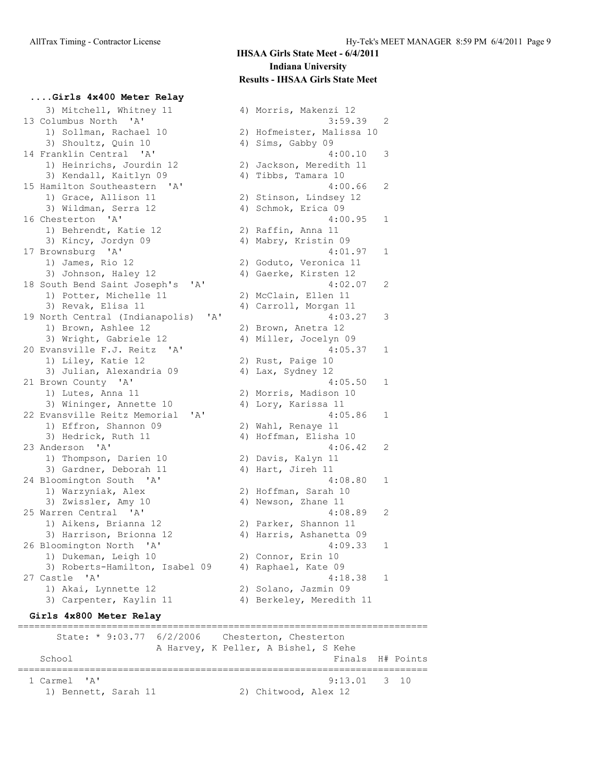**....Girls 4x400 Meter Relay**

 3) Mitchell, Whitney 11 4) Morris, Makenzi 12 13 Columbus North 'A' 3:59.39 2 1) Sollman, Rachael 10 2) Hofmeister, Malissa 10 3) Shoultz, Quin 10 4) Sims, Gabby 09 14 Franklin Central 'A' 4:00.10 3 1) Heinrichs, Jourdin 12 2) Jackson, Meredith 11 3) Kendall, Kaitlyn 09 4) Tibbs, Tamara 10 15 Hamilton Southeastern 'A' 4:00.66 2 1) Grace, Allison 11 2) Stinson, Lindsey 12 3) Wildman, Serra 12 4) Schmok, Erica 09 16 Chesterton 'A' 4:00.95 1 1) Behrendt, Katie 12 (2) Raffin, Anna 11 3) Kincy, Jordyn 09 4) Mabry, Kristin 09 17 Brownsburg 'A' 4:01.97 1 1) James, Rio 12 2) Goduto, Veronica 11 3) Johnson, Haley 12  $\hskip1cm$  4) Gaerke, Kirsten 12 18 South Bend Saint Joseph's 'A' 4:02.07 2 1) Potter, Michelle 11 2) McClain, Ellen 11 3) Revak, Elisa 11 4) Carroll, Morgan 11 19 North Central (Indianapolis) 'A' 4:03.27 3 1) Brown, Ashlee 12 2) Brown, Anetra 12 3) Wright, Gabriele 12 4) Miller, Jocelyn 09 20 Evansville F.J. Reitz 'A' 4:05.37 1 1) Liley, Katie 12 2) Rust, Paige 10 3) Julian, Alexandria 09 4) Lax, Sydney 12 21 Brown County 'A' 4:05.50 1 1) Lutes, Anna 11 2) Morris, Madison 10 3) Wininger, Annette 10 4) Lory, Karissa 11 22 Evansville Reitz Memorial 'A' 4:05.86 1 1) Effron, Shannon 09 2) Wahl, Renaye 11 3) Hedrick, Ruth 11 4) Hoffman, Elisha 10 23 Anderson 'A' 4:06.42 2 1) Thompson, Darien 10 2) Davis, Kalyn 11 3) Gardner, Deborah 11  $\hskip10mm 4)$  Hart, Jireh 11 24 Bloomington South 'A' 4:08.80 1 1) Warzyniak, Alex 2) Hoffman, Sarah 10 3) Zwissler, Amy 10 4) Newson, Zhane 11 25 Warren Central 'A' 4:08.89 2 1) Aikens, Brianna 12 2) Parker, Shannon 11 3) Harrison, Brionna 12 4) Harris, Ashanetta 09 26 Bloomington North 'A' 4:09.33 1 1) Dukeman, Leigh 10 2) Connor, Erin 10 3) Roberts-Hamilton, Isabel 09 4) Raphael, Kate 09 27 Castle 'A' 4:18.38 1 1) Akai, Lynnette 12 2) Solano, Jazmin 09 3) Carpenter, Kaylin 11 4) Berkeley, Meredith 11 **Girls 4x800 Meter Relay** ==========================================================================

State: \* 9:03.77 6/2/2006 Chesterton, Chesterton A Harvey, K Peller, A Bishel, S Kehe<br>Final Finals H# Points ==========================================================================  $9:13.01$  3 10 1) Bennett, Sarah 11 2) Chitwood, Alex 12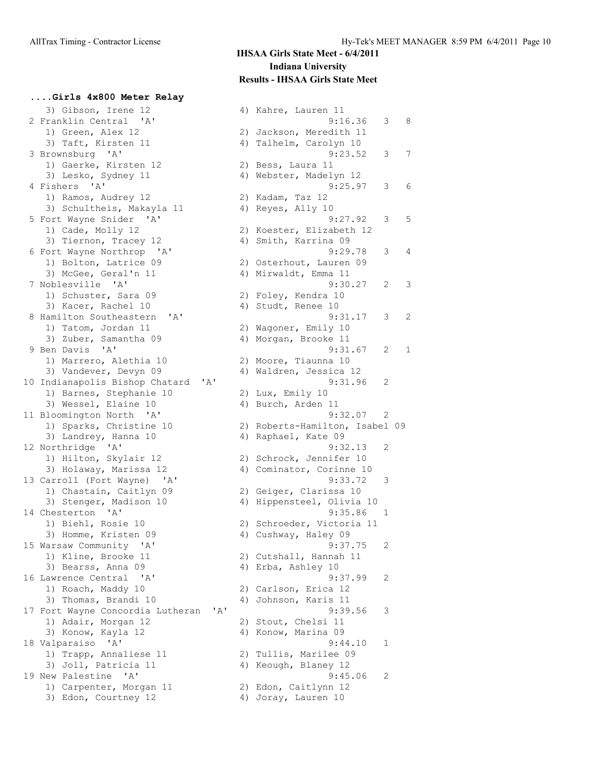**....Girls 4x800 Meter Relay** 3) Gibson, Irene 12 31 4) Kahre, Lauren 11 1) Green, Alex 12 2) Jackson, Meredith 11 3) Taft, Kirsten 11 and 4) Talhelm, Carolyn 10 1) Gaerke, Kirsten 12 and 2) Bess, Laura 11 3) Lesko, Sydney 11 4) Webster, Madelyn 12 1) Ramos, Audrey 12 2) Kadam, Taz 12 3) Schultheis, Makayla 11  $\hskip1cm 4$ ) Reyes, Ally 10 1) Cade, Molly 12 2) Koester, Elizabeth 12 3) Tiernon, Tracey 12  $\hskip 1.0cm 4$  Smith, Karrina 09 1) Bolton, Latrice 09 2) Osterhout, Lauren 09 3) McGee, Geral'n 11 4) Mirwaldt, Emma 11 1) Schuster, Sara 09 2) Foley, Kendra 10 3) Kacer, Rachel 10 4) Studt, Renee 10 1) Tatom, Jordan 11 2) Wagoner, Emily 10 3) Zuber, Samantha 09  $\hskip 1.5 cm 4$ ) Morgan, Brooke 11 1) Marrero, Alethia 10 12) Moore, Tiaunna 10 3) Vandever, Devyn 09 4) Waldren, Jessica 12 10 Indianapolis Bishop Chatard 'A' 9:31.96 2 1) Barnes, Stephanie 10 2) Lux, Emily 10 3) Wessel, Elaine 10 4) Burch, Arden 11 11 Bloomington North 'A' 9:32.07 2 3) Landrey, Hanna 10 4) Raphael, Kate 09 12 Northridge 'A' 9:32.13 2 1) Hilton, Skylair 12 2) Schrock, Jennifer 10 3) Holaway, Marissa 12 4) Cominator, Corinne 10 13 Carroll (Fort Wayne) 'A' 9:33.72 3 1) Chastain, Caitlyn 09 2) Geiger, Clarissa 10 3) Stenger, Madison 10 4) Hippensteel, Olivia 10 14 Chesterton 'A' 9:35.86 1 1) Biehl, Rosie 10 2) Schroeder, Victoria 11 3) Homme, Kristen 09 4) Cushway, Haley 09 15 Warsaw Community 'A' 9:37.75 2 1) Kline, Brooke 11 2) Cutshall, Hannah 11 3) Bearss, Anna 09 4) Erba, Ashley 10 16 Lawrence Central 'A' 9:37.99 2 1) Roach, Maddy 10 2) Carlson, Erica 12 3) Thomas, Brandi 10 4) Johnson, Karis 11 17 Fort Wayne Concordia Lutheran 'A' 9:39.56 3 1) Adair, Morgan 12 2) Stout, Chelsi 11 3) Konow, Kayla 12 4) Konow, Marina 09 18 Valparaiso 'A' 9:44.10 1 1) Trapp, Annaliese 11 2) Tullis, Marilee 09 3) Joll, Patricia 11 (4) Keough, Blaney 12 19 New Palestine 'A' 9:45.06 2 1) Carpenter, Morgan 11 12 2) Edon, Caitlynn 12 3) Edon, Courtney 12 4) Joray, Lauren 10

 2 Franklin Central 'A' 9:16.36 3 8 3 Brownsburg 'A' 9:23.52 3 7 4 Fishers 'A' 9:25.97 3 6 5 Fort Wayne Snider 'A' 9:27.92 3 5 6 Fort Wayne Northrop 'A' 9:29.78 3 4 7 Noblesville 'A' 9:30.27 2 3 8 Hamilton Southeastern 'A' 9:31.17 3 2 9 Ben Davis 'A' 9:31.67 2 1 1) Sparks, Christine 10 2) Roberts-Hamilton, Isabel 09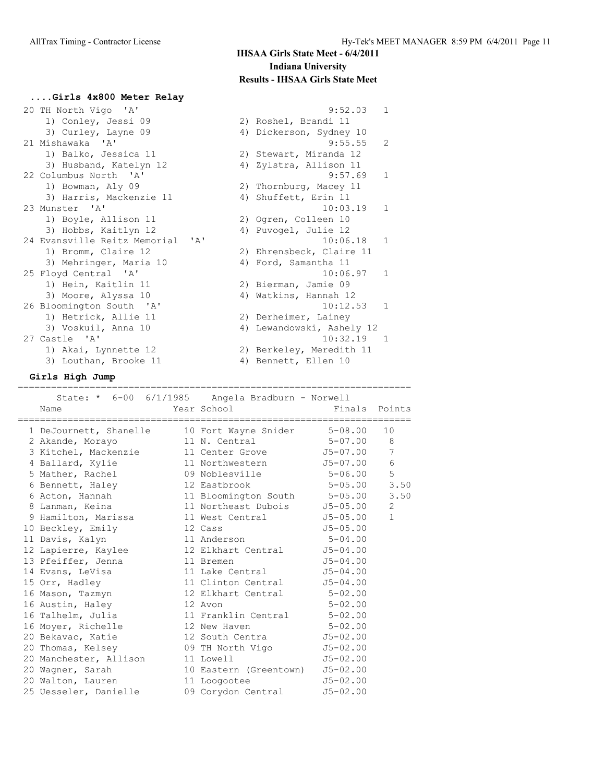**....Girls 4x800 Meter Relay**

| 20 TH North Vigo 'A'                                                   | $\mathbf{1}$<br>9:52.03    |
|------------------------------------------------------------------------|----------------------------|
| 1) Conley, Jessi 09                                                    | 2) Roshel, Brandi 11       |
| 3) Curley, Layne 09                                                    | 4) Dickerson, Sydney 10    |
| 21 Mishawaka 'A'                                                       | 9:55.55<br>2               |
| 1) Balko, Jessica 11                                                   | 2) Stewart, Miranda 12     |
| 3) Husband, Katelyn 12                                                 | 4) Zylstra, Allison 11     |
| 22 Columbus North 'A'                                                  | $\mathbf{1}$<br>9:57.69    |
| 1) Bowman, Aly 09                                                      | 2) Thornburg, Macey 11     |
| 3) Harris, Mackenzie 11                                                | 4) Shuffett, Erin 11       |
| 23 Munster 'A'                                                         | 10:03.19<br>$\overline{1}$ |
| 1) Boyle, Allison 11                                                   | 2) Ogren, Colleen 10       |
| 3) Hobbs, Kaitlyn 12                                                   | 4) Puvogel, Julie 12       |
| $\mathsf{I}$ $\mathsf{A}$ $\mathsf{I}$<br>24 Evansville Reitz Memorial | 10:06.18<br>$\overline{1}$ |
| 1) Bromm, Claire 12                                                    | 2) Ehrensbeck, Claire 11   |
| 3) Mehringer, Maria 10                                                 | 4) Ford, Samantha 11       |
| 25 Floyd Central 'A'                                                   | $\overline{1}$<br>10:06.97 |
| 1) Hein, Kaitlin 11                                                    | 2) Bierman, Jamie 09       |
| 3) Moore, Alyssa 10                                                    | 4) Watkins, Hannah 12      |
| 26 Bloomington South 'A'                                               | 10:12.53 1                 |
| 1) Hetrick, Allie 11                                                   | 2) Derheimer, Lainey       |
| 3) Voskuil, Anna 10                                                    | 4) Lewandowski, Ashely 12  |
| 27 Castle 'A'                                                          | $10:32.19$ 1               |
| 1) Akai, Lynnette 12                                                   | 2) Berkeley, Meredith 11   |
| 3) Louthan, Brooke 11                                                  | 4) Bennett, Ellen 10       |

**Girls High Jump**

=======================================================================

| State: * 6-00 6/1/1985 Angela Bradburn - Norwell<br>Name                                 | Year School and the School and the School | Finals Points |                 |
|------------------------------------------------------------------------------------------|-------------------------------------------|---------------|-----------------|
| 1 DeJournett, Shanelle 10 Fort Wayne Snider 5-08.00                                      |                                           |               | 10              |
| 2 Akande, Morayo 11 N. Central 5-07.00 8                                                 |                                           |               |                 |
| 3 Kitchel, Mackenzie 11 Center Grove 55-07.00                                            |                                           |               | $7\phantom{.0}$ |
| 4 Ballard, Kylie $11$ Northwestern $J5-07.00$                                            |                                           |               | 6               |
| 5 Mather, Rachel 09 Noblesville 5-06.00                                                  |                                           |               | 5               |
| 6 Bennett, Haley 12 Eastbrook 5-05.00                                                    |                                           |               | 3.50            |
| 6 Acton, Hannah 11 Bloomington South 5-05.00 3.50                                        |                                           |               |                 |
| 8 Lanman, Keina 11 Northeast Dubois 55-05.00                                             |                                           |               | $2^{\circ}$     |
| 9 Hamilton, Marissa 11 West Central 55-05.00                                             |                                           |               | $\mathbf 1$     |
| 10 Beckley, Emily 12 Cass                                                                |                                           | $J5 - 05.00$  |                 |
| 11 Davis, Kalyn 11 Anderson 5-04.00                                                      |                                           |               |                 |
| 12 Lapierre, Kaylee 12 Elkhart Central 55-04.00<br>13 Pfeiffer, Jenna 11 Bremen 55-04.00 |                                           |               |                 |
|                                                                                          |                                           |               |                 |
| 14 Evans, LeVisa and 11 Lake Central 55-04.00                                            |                                           |               |                 |
| 15 Orr, Hadley 11 Clinton Central 55-04.00                                               |                                           |               |                 |
| 16 Mason, Tazmyn 12 Elkhart Central 5-02.00                                              |                                           |               |                 |
| 16 Austin, Haley 12 Avon                                                                 |                                           | $5 - 02.00$   |                 |
| 16 Talhelm, Julia 11 Franklin Central 5-02.00                                            |                                           |               |                 |
| 16 Moyer, Richelle 12 New Haven 5-02.00                                                  |                                           |               |                 |
| 20 Bekavac, Katie 12 South Centra 55-02.00                                               |                                           |               |                 |
| 20 Thomas, Kelsey 69 TH North Vigo 55-02.00                                              |                                           |               |                 |
| 20 Manchester, Allison 11 Lowell                                                         |                                           | $J5-02.00$    |                 |
| 20 Wagner, Sarah 10 Eastern (Greentown) J5-02.00                                         |                                           |               |                 |
| 20 Walton, Lauren 11 Loogootee 55-02.00                                                  |                                           |               |                 |
| 25 Uesseler, Danielle and 09 Corydon Central 55-02.00                                    |                                           |               |                 |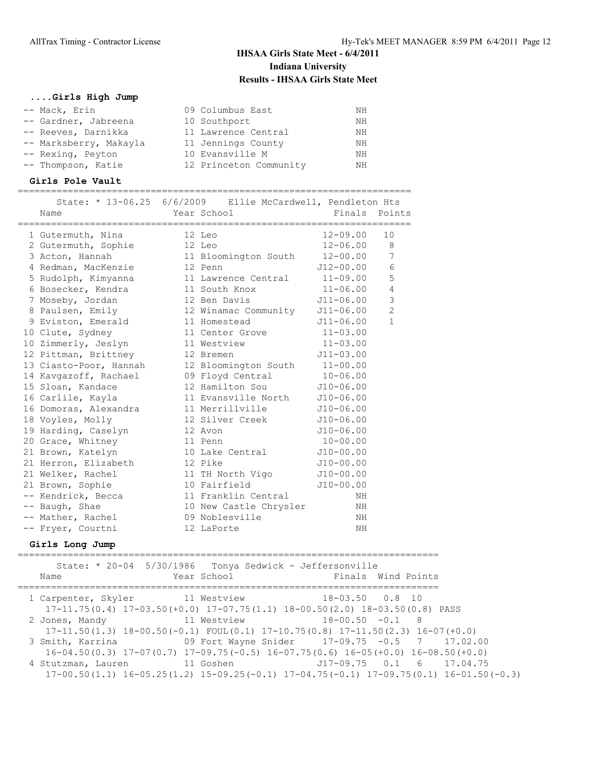### **....Girls High Jump**

| -- Mack, Erin          | 09 Columbus East       | NΗ |
|------------------------|------------------------|----|
| -- Gardner, Jabreena   | 10 Southport           | ΝH |
| -- Reeves, Darnikka    | 11 Lawrence Central    | ΝH |
| -- Marksberry, Makayla | 11 Jennings County     | NΗ |
| -- Rexing, Peyton      | 10 Evansville M        | ΝH |
| -- Thompson, Katie     | 12 Princeton Community | NΗ |

### **Girls Pole Vault**

=======================================================================

|                        | State: * 13-06.25 6/6/2009 Ellie McCardwell, Pendleton Hts |               |                |
|------------------------|------------------------------------------------------------|---------------|----------------|
| Name                   | Year School                                                | Finals Points |                |
| 1 Gutermuth, Nina      | 12 Leo                                                     | $12 - 09.00$  | 10             |
| 2 Gutermuth, Sophie    | 12 Leo                                                     | $12 - 06.00$  | 8              |
| 3 Acton, Hannah        | 11 Bloomington South                                       | $12 - 00.00$  | 7              |
| 4 Redman, MacKenzie    | 12 Penn                                                    | J12-00.00     | $6\,$          |
| 5 Rudolph, Kimyanna    | 11 Lawrence Central                                        | $11 - 09.00$  | 5              |
| 6 Bosecker, Kendra     | 11 South Knox                                              | $11 - 06.00$  | $\overline{4}$ |
| 7 Moseby, Jordan       | 12 Ben Davis                                               | J11-06.00     | 3              |
| 8 Paulsen, Emily       | 12 Winamac Community                                       | J11-06.00     | $\overline{c}$ |
| 9 Eviston, Emerald     | 11 Homestead                                               | $J11 - 06.00$ | $\mathbf{1}$   |
| 10 Clute, Sydney       | 11 Center Grove                                            | $11 - 03.00$  |                |
| 10 Zimmerly, Jeslyn    | 11 Westview                                                | $11 - 03.00$  |                |
| 12 Pittman, Brittney   | 12 Bremen                                                  | $J11 - 03.00$ |                |
| 13 Ciasto-Poor, Hannah | 12 Bloomington South 11-00.00                              |               |                |
| 14 Kavgazoff, Rachael  | 09 Floyd Central                                           | $10 - 06.00$  |                |
| 15 Sloan, Kandace      | 12 Hamilton Sou                                            | $J10-06.00$   |                |
| 16 Carlile, Kayla      | 11 Evansville North                                        | $J10-06.00$   |                |
| 16 Domoras, Alexandra  | 11 Merrillville                                            | $J10-06.00$   |                |
| 18 Voyles, Molly       | 12 Silver Creek                                            | $J10-06.00$   |                |
| 19 Harding, Caselyn    | 12 Avon                                                    | $J10-06.00$   |                |
| 20 Grace, Whitney      | 11 Penn                                                    | $10 - 00.00$  |                |
| 21 Brown, Katelyn      | 10 Lake Central                                            | $J10-00.00$   |                |
| 21 Herron, Elizabeth   | 12 Pike                                                    | $J10-00.00$   |                |
| 21 Welker, Rachel      | 11 TH North Vigo J10-00.00                                 |               |                |
| 21 Brown, Sophie       | 10 Fairfield                                               | $J10-00.00$   |                |
| -- Kendrick, Becca     | 11 Franklin Central                                        | NH            |                |
| -- Baugh, Shae         | 10 New Castle Chrysler                                     | NH            |                |
| -- Mather, Rachel      | 09 Noblesville                                             | NH            |                |
| -- Fryer, Courtni      | 12 LaPorte                                                 | ΝH            |                |

#### **Girls Long Jump**

============================================================================ State: \* 20-04 5/30/1986 Tonya Sedwick - Jeffersonville Name The Year School The Finals Wind Points ============================================================================ 1 Carpenter, Skyler 11 Westview 18-03.50 0.8 10 17-11.75(0.4) 17-03.50(+0.0) 17-07.75(1.1) 18-00.50(2.0) 18-03.50(0.8) PASS<br>Jones, Mandy 11 Westview 18-00.50 -0.1 8 2 Jones, Mandy 11 Westview 17-11.50(1.3) 18-00.50(-0.1) FOUL(0.1) 17-10.75(0.8) 17-11.50(2.3) 16-07(+0.0) 3 Smith, Karrina 09 Fort Wayne Snider 17-09.75 -0.5 7 17.02.00 16-04.50(0.3) 17-07(0.7) 17-09.75(-0.5) 16-07.75(0.6) 16-05(+0.0) 16-08.50(+0.0) J17-09.75 0.1 6 17.04.75 17-00.50(1.1) 16-05.25(1.2) 15-09.25(-0.1) 17-04.75(-0.1) 17-09.75(0.1) 16-01.50(-0.3)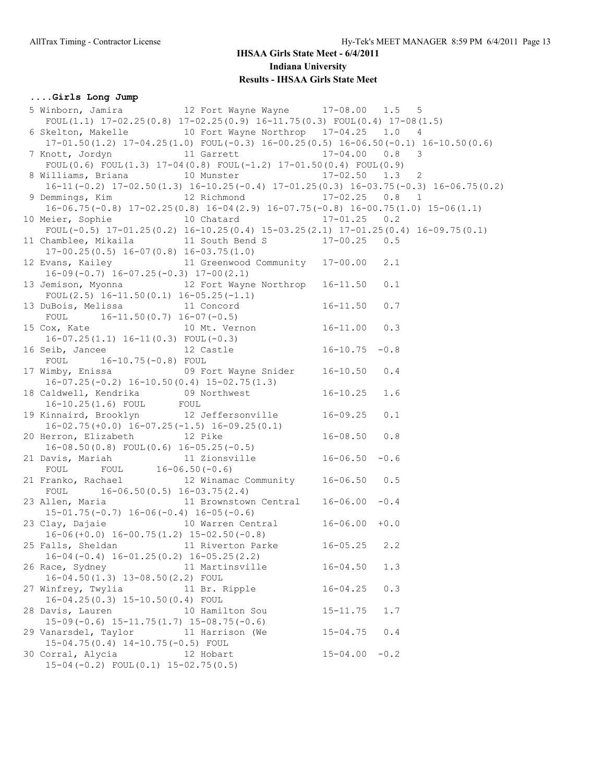## **....Girls Long Jump**

 5 Winborn, Jamira 12 Fort Wayne Wayne 17-08.00 1.5 5 FOUL(1.1)  $17-02.25(0.8)$   $17-02.25(0.9)$   $16-11.75(0.3)$  FOUL(0.4)  $17-08(1.5)$  6 Skelton, Makelle 10 Fort Wayne Northrop 17-04.25 1.0 4 17-01.50(1.2) 17-04.25(1.0) FOUL(-0.3) 16-00.25(0.5) 16-06.50(-0.1) 16-10.50(0.6) 7 Knott, Jordyn 11 Garrett 17-04.00 0.8 3 FOUL(0.6) FOUL(1.3)  $17-04(0.8)$  FOUL(-1.2)  $17-01.50(0.4)$  FOUL(0.9) 8 Williams, Briana 10 Munster 17-02.50 1.3 2 16-11(-0.2) 17-02.50(1.3) 16-10.25(-0.4) 17-01.25(0.3) 16-03.75(-0.3) 16-06.75(0.2) 9 Demmings, Kim 12 Richmond 17-02.25 0.8 1 16-06.75(-0.8) 17-02.25(0.8) 16-04(2.9) 16-07.75(-0.8) 16-00.75(1.0) 15-06(1.1) 10 Meier, Sophie 10 Chatard 17-01.25 0.2 FOUL(-0.5) 17-01.25(0.2) 16-10.25(0.4) 15-03.25(2.1) 17-01.25(0.4) 16-09.75(0.1) 11 Chamblee, Mikaila 11 South Bend S 17-00.25 0.5 17-00.25(0.5) 16-07(0.8) 16-03.75(1.0) 12 Evans, Kailey 11 Greenwood Community 17-00.00 2.1 16-09(-0.7) 16-07.25(-0.3) 17-00(2.1) 13 Jemison, Myonna 12 Fort Wayne Northrop 16-11.50 0.1 FOUL(2.5) 16-11.50(0.1) 16-05.25(-1.1) 13 DuBois, Melissa 11 Concord 16-11.50 0.7 FOUL 16-11.50(0.7) 16-07(-0.5) 15 Cox, Kate 10 Mt. Vernon 16-11.00 0.3 16-07.25(1.1) 16-11(0.3) FOUL(-0.3) 16-07.2011.1, 10 1110.0, 1001, 0.0,<br>16 Seib, Jancee 12 Castle 16-10.75 -0.8 FOUL 16-10.75(-0.8) FOUL 17 Wimby, Enissa 09 Fort Wayne Snider 16-10.50 0.4 16-07.25(-0.2) 16-10.50(0.4) 15-02.75(1.3) 18 Caldwell, Kendrika 09 Northwest 16-10.25 1.6 16-10.25(1.6) FOUL FOUL 19 Kinnaird, Brooklyn 12 Jeffersonville 16-09.25 0.1 16-02.75(+0.0) 16-07.25(-1.5) 16-09.25(0.1) 20 Herron, Elizabeth 12 Pike 16-08.50 0.8 16-08.50(0.8) FOUL(0.6) 16-05.25(-0.5) 21 Davis, Mariah 11 Zionsville 16-06.50 -0.6 FOUL FOUL 16-06.50(-0.6) 21 Franko, Rachael 12 Winamac Community 16-06.50 0.5 FOUL 16-06.50(0.5) 16-03.75(2.4) 23 Allen, Maria 11 Brownstown Central 16-06.00 -0.4 15-01.75(-0.7) 16-06(-0.4) 16-05(-0.6) 23 Clay, Dajaie 10 Warren Central 16-06.00 +0.0 16-06(+0.0) 16-00.75(1.2) 15-02.50(-0.8) 25 Falls, Sheldan 11 Riverton Parke 16-05.25 2.2 16-04(-0.4) 16-01.25(0.2) 16-05.25(2.2) 26 Race, Sydney 11 Martinsville 16-04.50 1.3 16-04.50(1.3) 13-08.50(2.2) FOUL 27 Winfrey, Twylia 11 Br. Ripple 16-04.25 0.3 16-04.25(0.3) 15-10.50(0.4) FOUL 28 Davis, Lauren 10 Hamilton Sou 15-11.75 1.7 15-09(-0.6) 15-11.75(1.7) 15-08.75(-0.6) 29 Vanarsdel, Taylor 11 Harrison (We 15-04.75 0.4 15-04.75(0.4) 14-10.75(-0.5) FOUL 30 Corral, Alycia 12 Hobart 15-04.00 -0.2 15-04(-0.2) FOUL(0.1) 15-02.75(0.5)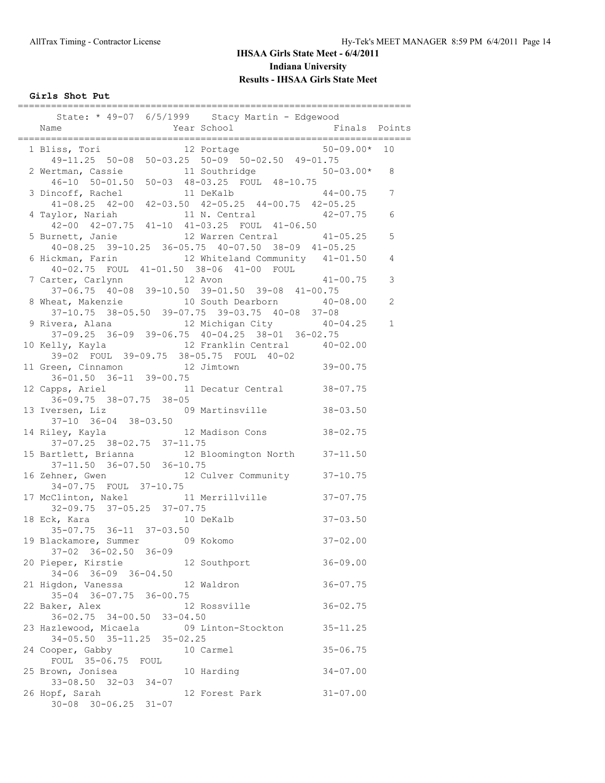**Girls Shot Put**

| State: * 49-07 6/5/1999 Stacy Martin - Edgewood                                                                                                                                      |                              |               |                |
|--------------------------------------------------------------------------------------------------------------------------------------------------------------------------------------|------------------------------|---------------|----------------|
|                                                                                                                                                                                      |                              | Finals Points |                |
| 1 Bliss, Tori 12 Portage 50-09.00*<br>49-11.25 50-08 50-03.25 50-09 50-02.50 49-01.75                                                                                                |                              |               | 10             |
| 2 Wertman, Cassie 11 Southridge 50<br>46-10 50-01.50 50-03 48-03.25 FOUL 48-10.75                                                                                                    | 11 Southridge 50-03.00*      |               | 8              |
|                                                                                                                                                                                      |                              | $44 - 00.75$  | 7              |
| 3 Dincoff, Rachel 11 DeKalb 44-00.75<br>41-08.25 42-00 42-03.50 42-05.25 44-00.75 42-05.25<br>4 Taylor, Nariah 11 N. Central 42-07.75<br>42-00 42-07.75 41-10 41-03.25 FOUL 41-06.50 |                              |               | 6              |
| 5 Burnett, Janie 12 Warren Central 41-05.25<br>40-08.25 39-10.25 36-05.75 40-07.50 38-09 41-05.25                                                                                    |                              |               | 5              |
| 6 Hickman, Farin 12 Whiteland Community 41-01.50<br>40-02.75 FOUL 41-01.50 38-06 41-00 FOUL                                                                                          |                              |               | 4              |
| 7 Carter, Carlynn 12 Avon 41-00.75<br>37-06.75 40-08 39-10.50 39-01.50 39-08 41-00.75                                                                                                |                              |               | 3              |
| 8 Wheat, Makenzie 10 South Dearborn 40-08.00<br>37-10.75 38-05.50 39-07.75 39-03.75 40-08 37-08                                                                                      |                              |               | $\overline{c}$ |
| 9 Rivera, Alana<br>37-09.25 36-09 39-06.75 40-04.25 38-01 36-02.75                                                                                                                   | 12 Michigan City 40-04.25    |               | $\mathbf 1$    |
| 10 Kelly, Kayla                                                                                                                                                                      | 12 Franklin Central 40-02.00 |               |                |
| 10 Kelly, Nayla<br>39-02 FOUL 39-09.75 38-05.75 FOUL 40-02<br>11 Green, Cinnamon<br>12 Jimtown<br>$36 - 01.50$ $36 - 11$ $39 - 00.75$                                                |                              | $39 - 00.75$  |                |
| 12 Capps, Ariel 11 Decatur Central 38-07.75<br>$36 - 09.75$ $38 - 07.75$ $38 - 05$                                                                                                   |                              |               |                |
| 13 Iversen, Liz 09 Martinsville<br>37-10 36-04 38-03.50                                                                                                                              |                              | $38 - 03.50$  |                |
| 14 Riley, Kayla               12 Madison Cons         38-02.75<br>$37-07.25$ $38-02.75$ $37-11.75$                                                                                   |                              |               |                |
| 15 Bartlett, Brianna 12 Bloomington North 37-11.50<br>$37-11.50$ $36-07.50$ $36-10.75$                                                                                               |                              |               |                |
| 16 Zehner, Gwen 12 Culver Community 37-10.75<br>34-07.75 FOUL 37-10.75                                                                                                               |                              |               |                |
| 17 McClinton, Nakel 11 Merrillville<br>32-09.75 37-05.25 37-07.75                                                                                                                    |                              | $37 - 07.75$  |                |
| 18 Eck, Kara 10 DeKalb<br>$35-07.75$ $36-11$ $37-03.50$                                                                                                                              |                              | $37 - 03.50$  |                |
| 19 Blackamore, Summer 09 Kokomo<br>37-02 36-02.50 36-09                                                                                                                              |                              | $37 - 02.00$  |                |
| 20 Pieper, Kirstie<br>12 Southport<br>$34-06$ $36-09$ $36-04.50$                                                                                                                     |                              | $36 - 09.00$  |                |
| 21 Higdon, Vanessa<br>12 Waldron<br>35-04 36-07.75 36-00.75                                                                                                                          |                              | $36 - 07.75$  |                |
| 22 Baker, Alex<br>$36 - 02.75$ $34 - 00.50$ $33 - 04.50$                                                                                                                             | 12 Rossville                 | $36 - 02.75$  |                |
| 23 Hazlewood, Micaela (09 Linton-Stockton<br>34-05.50 35-11.25 35-02.25                                                                                                              |                              | $35 - 11.25$  |                |
| 24 Cooper, Gabby<br>10 Carmel<br>FOUL 35-06.75 FOUL                                                                                                                                  |                              | $35 - 06.75$  |                |
| 25 Brown, Jonisea<br>10 Harding<br>$33-08.50$ $32-03$ $34-07$                                                                                                                        |                              | $34 - 07.00$  |                |
| 26 Hopf, Sarah<br>$30-08$ $30-06.25$ $31-07$                                                                                                                                         | 12 Forest Park               | $31 - 07.00$  |                |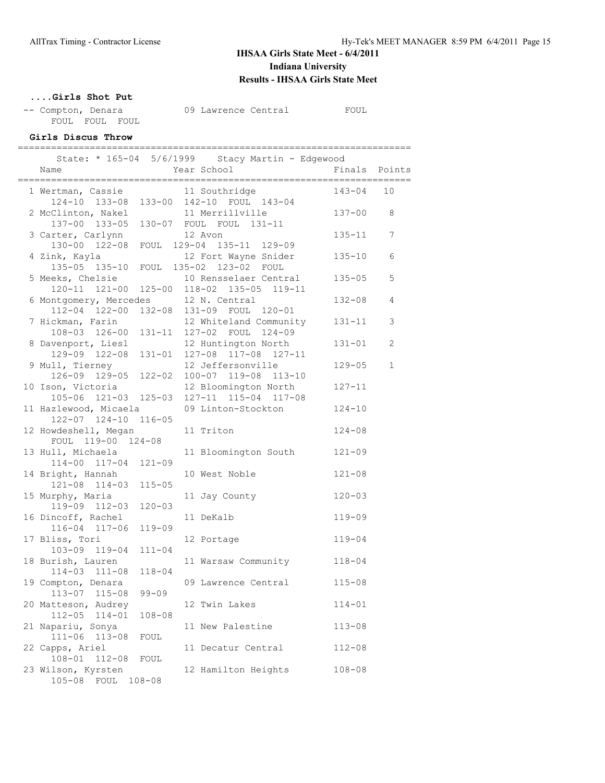### **....Girls Shot Put**

| -- Compton, Denara |                | 09 Lawrence Central | FOUL |
|--------------------|----------------|---------------------|------|
|                    | FOUL FOUL FOUL |                     |      |

#### **Girls Discus Throw** =======================================================================

|                                         | State: * 165-04 5/6/1999 Stacy Martin - Edgewood                                |               |              |
|-----------------------------------------|---------------------------------------------------------------------------------|---------------|--------------|
| Name                                    | Year School                                                                     | Finals Points |              |
| 1 Wertman, Cassie and 11 Southridge     |                                                                                 | $143 - 04$    | 10           |
|                                         | 124-10 133-08 133-00 142-10 FOUL 143-04                                         |               |              |
|                                         | 2 McClinton, Nakel 11 Merrillville                                              | $137 - 00$    | 8            |
|                                         | 137-00 133-05 130-07 FOUL FOUL 131-11                                           |               |              |
| 3 Carter, Carlynn                       | 12 Avon                                                                         | $135 - 11$    | 7            |
|                                         | 130-00 122-08 FOUL 129-04 135-11 129-09                                         |               |              |
| 4 Zink, Kayla                           | 12 Fort Wayne Snider                                                            | $135 - 10$    | 6            |
|                                         | 135-05 135-10 FOUL 135-02 123-02 FOUL                                           |               |              |
| 5 Meeks, Chelsie                        | 10 Rensselaer Central                                                           | $135 - 05$    | 5            |
|                                         | 120-11 121-00 125-00 118-02 135-05 119-11                                       |               |              |
|                                         |                                                                                 | $132 - 08$    | 4            |
|                                         | 6 Montgomery, Mercedes 12 N. Central<br>112-04 122-00 132-08 131-09 FOUL 120-01 |               |              |
| 7 Hickman, Farin                        | 12 Whiteland Community                                                          | $131 - 11$    | 3            |
| 108-03 126-00 131-11                    | 127-02 FOUL 124-09                                                              |               |              |
| 8 Davenport, Liesl                      | 12 Huntington North                                                             | $131 - 01$    | 2            |
|                                         | 129-09 122-08 131-01 127-08 117-08 127-11                                       |               |              |
|                                         | 12 Jeffersonville                                                               | $129 - 05$    | $\mathbf{1}$ |
| 9 Mull, Tierney<br>126-09 129-05 122-02 | 100-07 119-08 113-10                                                            |               |              |
| 10 Ison, Victoria                       | 12 Bloomington North                                                            | $127 - 11$    |              |
| 105-06 121-03 125-03                    | 127-11 115-04 117-08                                                            |               |              |
| 11 Hazlewood, Micaela                   | 09 Linton-Stockton                                                              | $124 - 10$    |              |
| 122-07 124-10 116-05                    |                                                                                 |               |              |
|                                         |                                                                                 | $124 - 08$    |              |
| 12 Howdeshell, Megan                    | 11 Triton                                                                       |               |              |
| FOUL 119-00 124-08                      |                                                                                 |               |              |
| 13 Hull, Michaela                       | 11 Bloomington South                                                            | $121 - 09$    |              |
| 114-00 117-04 121-09                    |                                                                                 |               |              |
| 14 Bright, Hannah                       | 10 West Noble                                                                   | $121 - 08$    |              |
| 121-08 114-03 115-05                    |                                                                                 |               |              |
| 15 Murphy, Maria                        | 11 Jay County                                                                   | $120 - 03$    |              |
| 119-09 112-03<br>$120 - 03$             |                                                                                 |               |              |
| 16 Dincoff, Rachel                      | 11 DeKalb                                                                       | $119 - 09$    |              |
| 116-04 117-06<br>$119 - 09$             |                                                                                 |               |              |
| 17 Bliss, Tori                          | 12 Portage                                                                      | $119 - 04$    |              |
| 103-09 119-04<br>$111 - 04$             |                                                                                 |               |              |
| 18 Burish, Lauren                       | 11 Warsaw Community                                                             | $118 - 04$    |              |
| 114-03 111-08<br>$118 - 04$             |                                                                                 |               |              |
| 19 Compton, Denara                      | 09 Lawrence Central                                                             | $115 - 08$    |              |
| 113-07 115-08<br>$99 - 09$              |                                                                                 |               |              |
| 20 Matteson, Audrey                     | 12 Twin Lakes                                                                   | $114 - 01$    |              |
| $114 - 01$<br>$112 - 05$<br>$108 - 08$  |                                                                                 |               |              |
| 21 Napariu, Sonya                       | 11 New Palestine                                                                | $113 - 08$    |              |
| $111 - 06$<br>$113 - 08$<br>FOUL        |                                                                                 |               |              |
| 22 Capps, Ariel                         | 11 Decatur Central                                                              | $112 - 08$    |              |
| $108 - 01$<br>$112 - 08$<br>FOUL        |                                                                                 |               |              |
| 23 Wilson, Kyrsten                      | 12 Hamilton Heights                                                             | $108 - 08$    |              |
| $105 - 08$<br>FOUL<br>$108 - 08$        |                                                                                 |               |              |
|                                         |                                                                                 |               |              |